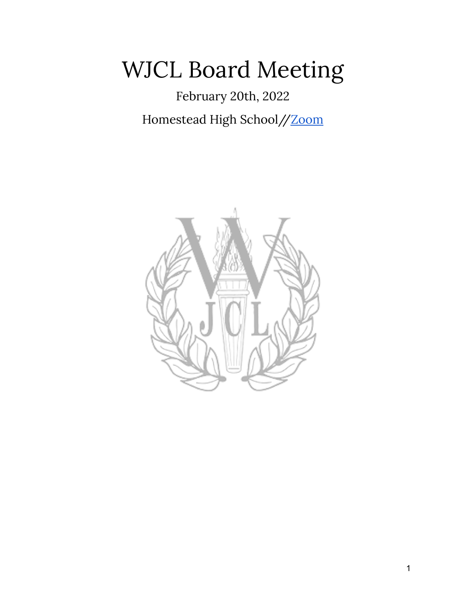## WJCL Board Meeting

February 20th, 2022 Homestead High School/[/Zoom](https://zoom.us/j/97851541675?pwd=SVUweXZ6ZW5Ya0JXRUluNHZLL21tZz09)

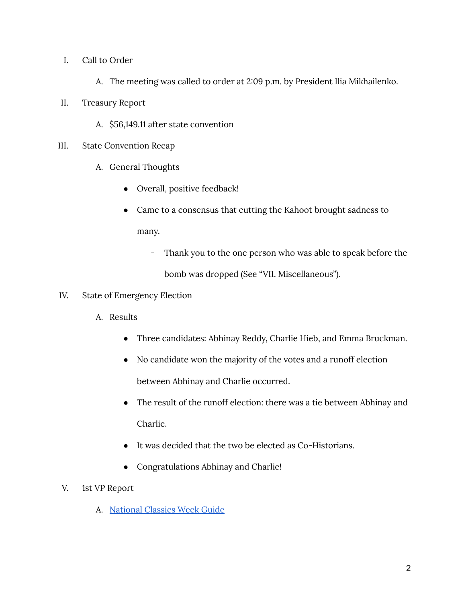- I. Call to Order
	- A. The meeting was called to order at 2:09 p.m. by President Ilia Mikhailenko.
- II. Treasury Report
	- A. \$56,149.11 after state convention
- III. State Convention Recap
	- A. General Thoughts
		- Overall, positive feedback!
		- Came to a consensus that cutting the Kahoot brought sadness to many.
			- Thank you to the one person who was able to speak before the bomb was dropped (See "VII. Miscellaneous").
- IV. State of Emergency Election
	- A. Results
		- Three candidates: Abhinay Reddy, Charlie Hieb, and Emma Bruckman.
		- No candidate won the majority of the votes and a runoff election between Abhinay and Charlie occurred.
		- The result of the runoff election: there was a tie between Abhinay and Charlie.
		- It was decided that the two be elected as Co-Historians.
		- Congratulations Abhinay and Charlie!
- V. 1st VP Report
	- A. [National](http://bit.ly/2022ncw) Classics Week Guide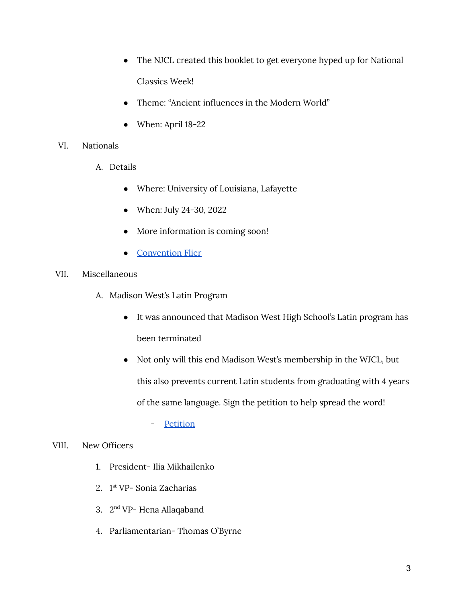- The NJCL created this booklet to get everyone hyped up for National Classics Week!
- Theme: "Ancient influences in the Modern World"
- When: April 18-22

## VI. Nationals

- A. Details
	- Where: University of Louisiana, Lafayette
	- When: July 24-30, 2022
	- More information is coming soon!
	- [Convention](https://www.njcl.org/Portals/1/NJCL%20Convention%20Flyer%202022.pdf) Flier

## VII. Miscellaneous

- A. Madison West's Latin Program
	- It was announced that Madison West High School's Latin program has been terminated
	- Not only will this end Madison West's membership in the WJCL, but this also prevents current Latin students from graduating with 4 years of the same language. Sign the petition to help spread the word!

- [Petition](https://chng.it/8yBLZGS6w4)

## VIII. New Officers

- 1. President- Ilia Mikhailenko
- 2. 1 st VP- Sonia Zacharias
- 3. 2<sup>nd</sup> VP- Hena Allaqaband
- 4. Parliamentarian- Thomas O'Byrne